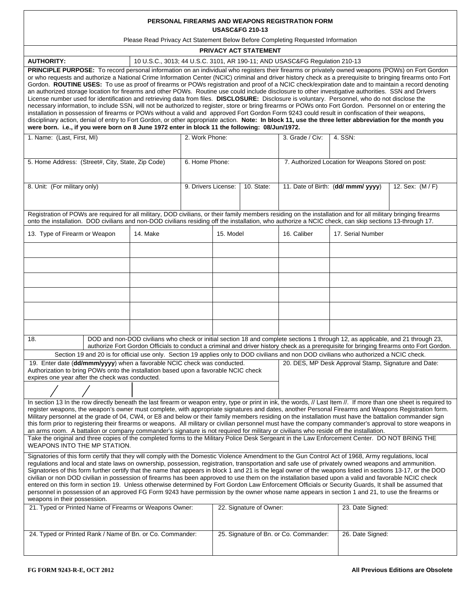| PERSONAL FIREARMS AND WEAPONS REGISTRATION FORM<br><b>USASC&amp;FG 210-13</b>                                                                                                                                                                                                                                                                                                                                                                                                                                                                                                                                                                                                                                                                                                                                                                                                                                                                                                                                                                                                                                                                                                                                                                                                                                                                                  |  |                     |                                        |            |                                                        |                   |  |  |  |
|----------------------------------------------------------------------------------------------------------------------------------------------------------------------------------------------------------------------------------------------------------------------------------------------------------------------------------------------------------------------------------------------------------------------------------------------------------------------------------------------------------------------------------------------------------------------------------------------------------------------------------------------------------------------------------------------------------------------------------------------------------------------------------------------------------------------------------------------------------------------------------------------------------------------------------------------------------------------------------------------------------------------------------------------------------------------------------------------------------------------------------------------------------------------------------------------------------------------------------------------------------------------------------------------------------------------------------------------------------------|--|---------------------|----------------------------------------|------------|--------------------------------------------------------|-------------------|--|--|--|
| Please Read Privacy Act Statement Below Before Completing Requested Information                                                                                                                                                                                                                                                                                                                                                                                                                                                                                                                                                                                                                                                                                                                                                                                                                                                                                                                                                                                                                                                                                                                                                                                                                                                                                |  |                     |                                        |            |                                                        |                   |  |  |  |
| PRIVACY ACT STATEMENT                                                                                                                                                                                                                                                                                                                                                                                                                                                                                                                                                                                                                                                                                                                                                                                                                                                                                                                                                                                                                                                                                                                                                                                                                                                                                                                                          |  |                     |                                        |            |                                                        |                   |  |  |  |
| <b>AUTHORITY:</b><br>10 U.S.C., 3013; 44 U.S.C. 3101, AR 190-11; AND USASC&FG Regulation 210-13                                                                                                                                                                                                                                                                                                                                                                                                                                                                                                                                                                                                                                                                                                                                                                                                                                                                                                                                                                                                                                                                                                                                                                                                                                                                |  |                     |                                        |            |                                                        |                   |  |  |  |
| PRINCIPLE PURPOSE: To record personal information on an individual who registers their firearms or privately owned weapons (POWs) on Fort Gordon<br>or who requests and authorize a National Crime Information Center (NCIC) criminal and driver history check as a prerequisite to bringing firearms onto Fort<br>Gordon. ROUTINE USES: To use as proof of firearms or POWs registration and proof of a NCIC check/expiration date and to maintain a record denoting<br>an authorized storage location for firearms and other POWs. Routine use could include disclosure to other investigative authorities. SSN and Drivers<br>License number used for identification and retrieving data from files. DISCLOSURE: Disclosure is voluntary. Personnel, who do not disclose the<br>necessary information, to include SSN, will not be authorized to register, store or bring firearms or POWs onto Fort Gordon. Personnel on or entering the<br>installation in possession of firearms or POWs without a valid and approved Fort Gordon Form 9243 could result in confiscation of their weapons,<br>disciplinary action, denial of entry to Fort Gordon, or other appropriate action. Note: In block 11, use the three letter abbreviation for the month you<br>were born. i.e., if you were born on 8 June 1972 enter in block 11 the following: 08/Jun/1972. |  |                     |                                        |            |                                                        |                   |  |  |  |
| 1. Name: (Last, First, MI)                                                                                                                                                                                                                                                                                                                                                                                                                                                                                                                                                                                                                                                                                                                                                                                                                                                                                                                                                                                                                                                                                                                                                                                                                                                                                                                                     |  | 2. Work Phone:      |                                        |            | 3. Grade / Civ:                                        | 4. SSN:           |  |  |  |
| 5. Home Address: (Street#, City, State, Zip Code)                                                                                                                                                                                                                                                                                                                                                                                                                                                                                                                                                                                                                                                                                                                                                                                                                                                                                                                                                                                                                                                                                                                                                                                                                                                                                                              |  | 6. Home Phone:      |                                        |            | 7. Authorized Location for Weapons Stored on post:     |                   |  |  |  |
| 8. Unit: (For military only)                                                                                                                                                                                                                                                                                                                                                                                                                                                                                                                                                                                                                                                                                                                                                                                                                                                                                                                                                                                                                                                                                                                                                                                                                                                                                                                                   |  | 9. Drivers License: |                                        | 10. State: | 11. Date of Birth: (dd/ mmm/ yyyy)<br>12. Sex: (M / F) |                   |  |  |  |
| Registration of POWs are required for all military, DOD civilians, or their family members residing on the installation and for all military bringing firearms<br>onto the installation. DOD civilians and non-DOD civilians residing off the installation, who authorize a NCIC check, can skip sections 13-through 17.                                                                                                                                                                                                                                                                                                                                                                                                                                                                                                                                                                                                                                                                                                                                                                                                                                                                                                                                                                                                                                       |  |                     |                                        |            |                                                        |                   |  |  |  |
| 13. Type of Firearm or Weapon<br>14. Make                                                                                                                                                                                                                                                                                                                                                                                                                                                                                                                                                                                                                                                                                                                                                                                                                                                                                                                                                                                                                                                                                                                                                                                                                                                                                                                      |  |                     | 15. Model                              |            | 16. Caliber                                            | 17. Serial Number |  |  |  |
|                                                                                                                                                                                                                                                                                                                                                                                                                                                                                                                                                                                                                                                                                                                                                                                                                                                                                                                                                                                                                                                                                                                                                                                                                                                                                                                                                                |  |                     |                                        |            |                                                        |                   |  |  |  |
|                                                                                                                                                                                                                                                                                                                                                                                                                                                                                                                                                                                                                                                                                                                                                                                                                                                                                                                                                                                                                                                                                                                                                                                                                                                                                                                                                                |  |                     |                                        |            |                                                        |                   |  |  |  |
|                                                                                                                                                                                                                                                                                                                                                                                                                                                                                                                                                                                                                                                                                                                                                                                                                                                                                                                                                                                                                                                                                                                                                                                                                                                                                                                                                                |  |                     |                                        |            |                                                        |                   |  |  |  |
|                                                                                                                                                                                                                                                                                                                                                                                                                                                                                                                                                                                                                                                                                                                                                                                                                                                                                                                                                                                                                                                                                                                                                                                                                                                                                                                                                                |  |                     |                                        |            |                                                        |                   |  |  |  |
|                                                                                                                                                                                                                                                                                                                                                                                                                                                                                                                                                                                                                                                                                                                                                                                                                                                                                                                                                                                                                                                                                                                                                                                                                                                                                                                                                                |  |                     |                                        |            |                                                        |                   |  |  |  |
| DOD and non-DOD civilians who check or initial section 18 and complete sections 1 through 12, as applicable, and 21 through 23,<br>18.                                                                                                                                                                                                                                                                                                                                                                                                                                                                                                                                                                                                                                                                                                                                                                                                                                                                                                                                                                                                                                                                                                                                                                                                                         |  |                     |                                        |            |                                                        |                   |  |  |  |
| authorize Fort Gordon Officials to conduct a criminal and driver history check as a prerequisite for bringing firearms onto Fort Gordon.<br>Section 19 and 20 is for official use only. Section 19 applies only to DOD civilians and non DOD civilians who authorized a NCIC check.                                                                                                                                                                                                                                                                                                                                                                                                                                                                                                                                                                                                                                                                                                                                                                                                                                                                                                                                                                                                                                                                            |  |                     |                                        |            |                                                        |                   |  |  |  |
| 19. Enter date (dd/mmm/yyyy) when a favorable NCIC check was conducted.<br>20. DES, MP Desk Approval Stamp, Signature and Date:<br>Authorization to bring POWs onto the installation based upon a favorable NCIC check<br>expires one year after the check was conducted.                                                                                                                                                                                                                                                                                                                                                                                                                                                                                                                                                                                                                                                                                                                                                                                                                                                                                                                                                                                                                                                                                      |  |                     |                                        |            |                                                        |                   |  |  |  |
|                                                                                                                                                                                                                                                                                                                                                                                                                                                                                                                                                                                                                                                                                                                                                                                                                                                                                                                                                                                                                                                                                                                                                                                                                                                                                                                                                                |  |                     |                                        |            |                                                        |                   |  |  |  |
| In section 13 In the row directly beneath the last firearm or weapon entry, type or print in ink, the words, // Last Item //. If more than one sheet is required to<br>register weapons, the weapon's owner must complete, with appropriate signatures and dates, another Personal Firearms and Weapons Registration form.<br>Military personnel at the grade of 04, CW4, or E8 and below or their family members residing on the installation must have the battalion commander sign<br>this form prior to registering their firearms or weapons. All military or civilian personnel must have the company commander's approval to store weapons in<br>an arms room. A battalion or company commander's signature is not required for military or civilians who reside off the installation.                                                                                                                                                                                                                                                                                                                                                                                                                                                                                                                                                                  |  |                     |                                        |            |                                                        |                   |  |  |  |
| Take the original and three copies of the completed forms to the Military Police Desk Sergeant in the Law Enforcement Center. DO NOT BRING THE<br>WEAPONS INTO THE MP STATION.                                                                                                                                                                                                                                                                                                                                                                                                                                                                                                                                                                                                                                                                                                                                                                                                                                                                                                                                                                                                                                                                                                                                                                                 |  |                     |                                        |            |                                                        |                   |  |  |  |
| Signatories of this form certify that they will comply with the Domestic Violence Amendment to the Gun Control Act of 1968, Army regulations, local<br>regulations and local and state laws on ownership, possession, registration, transportation and safe use of privately owned weapons and ammunition.<br>Signatories of this form further certify that the name that appears in block 1 and 21 is the legal owner of the weapons listed in sections 13-17, or the DOD<br>civilian or non DOD civilian in possession of firearms has been approved to use them on the installation based upon a valid and favorable NCIC check<br>entered on this form in section 19. Unless otherwise determined by Fort Gordon Law Enforcement Officials or Security Guards, It shall be assumed that<br>personnel in possession of an approved FG Form 9243 have permission by the owner whose name appears in section 1 and 21, to use the firearms or<br>weapons in their possession.                                                                                                                                                                                                                                                                                                                                                                                 |  |                     |                                        |            |                                                        |                   |  |  |  |
| 21. Typed or Printed Name of Firearms or Weapons Owner:                                                                                                                                                                                                                                                                                                                                                                                                                                                                                                                                                                                                                                                                                                                                                                                                                                                                                                                                                                                                                                                                                                                                                                                                                                                                                                        |  |                     | 22. Signature of Owner:                |            |                                                        | 23. Date Signed:  |  |  |  |
| 24. Typed or Printed Rank / Name of Bn. or Co. Commander:                                                                                                                                                                                                                                                                                                                                                                                                                                                                                                                                                                                                                                                                                                                                                                                                                                                                                                                                                                                                                                                                                                                                                                                                                                                                                                      |  |                     | 25. Signature of Bn. or Co. Commander: |            |                                                        | 26. Date Signed:  |  |  |  |

 $\overline{\phantom{a}}$ 

 $\overline{\phantom{0}}$